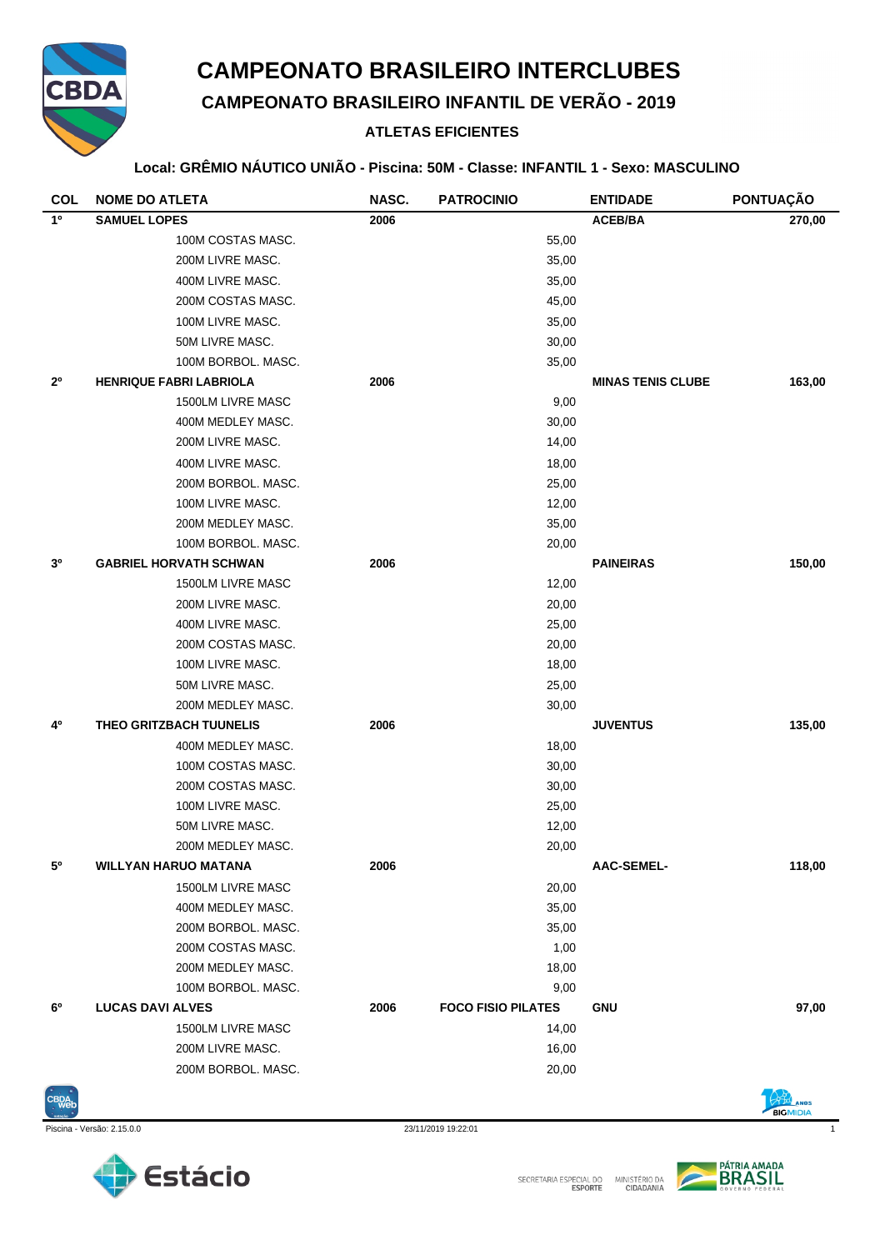

## **CAMPEONATO BRASILEIRO INTERCLUBES**

**CAMPEONATO BRASILEIRO INFANTIL DE VERÃO - 2019**

## **ATLETAS EFICIENTES**

#### **Local: GRÊMIO NÁUTICO UNIÃO - Piscina: 50M - Classe: INFANTIL 1 - Sexo: MASCULINO**

| <b>COL</b>     | <b>NOME DO ATLETA</b>          | NASC. | <b>PATROCINIO</b>         | <b>ENTIDADE</b>          | <b>PONTUAÇÃO</b> |
|----------------|--------------------------------|-------|---------------------------|--------------------------|------------------|
| $1^{\circ}$    | <b>SAMUEL LOPES</b>            | 2006  |                           | <b>ACEB/BA</b>           | 270,00           |
|                | 100M COSTAS MASC.              |       | 55,00                     |                          |                  |
|                | 200M LIVRE MASC.               |       | 35,00                     |                          |                  |
|                | 400M LIVRE MASC.               |       | 35,00                     |                          |                  |
|                | 200M COSTAS MASC.              |       | 45,00                     |                          |                  |
|                | 100M LIVRE MASC.               |       | 35,00                     |                          |                  |
|                | 50M LIVRE MASC.                |       | 30,00                     |                          |                  |
|                | 100M BORBOL. MASC.             |       | 35,00                     |                          |                  |
| 2 <sup>0</sup> | <b>HENRIQUE FABRI LABRIOLA</b> | 2006  |                           | <b>MINAS TENIS CLUBE</b> | 163,00           |
|                | 1500LM LIVRE MASC              |       | 9,00                      |                          |                  |
|                | 400M MEDLEY MASC.              |       | 30,00                     |                          |                  |
|                | 200M LIVRE MASC.               |       | 14,00                     |                          |                  |
|                | 400M LIVRE MASC.               |       | 18,00                     |                          |                  |
|                | 200M BORBOL. MASC.             |       | 25,00                     |                          |                  |
|                | 100M LIVRE MASC.               |       | 12,00                     |                          |                  |
|                | 200M MEDLEY MASC.              |       | 35,00                     |                          |                  |
|                | 100M BORBOL. MASC.             |       | 20,00                     |                          |                  |
| 3 <sup>0</sup> | <b>GABRIEL HORVATH SCHWAN</b>  | 2006  |                           | <b>PAINEIRAS</b>         | 150,00           |
|                | 1500LM LIVRE MASC              |       | 12,00                     |                          |                  |
|                | 200M LIVRE MASC.               |       | 20,00                     |                          |                  |
|                | 400M LIVRE MASC.               |       | 25,00                     |                          |                  |
|                | 200M COSTAS MASC.              |       | 20,00                     |                          |                  |
|                | 100M LIVRE MASC.               |       | 18,00                     |                          |                  |
|                | 50M LIVRE MASC.                |       | 25,00                     |                          |                  |
|                | 200M MEDLEY MASC.              |       | 30,00                     |                          |                  |
| 4º             | THEO GRITZBACH TUUNELIS        | 2006  |                           | <b>JUVENTUS</b>          | 135,00           |
|                | 400M MEDLEY MASC.              |       | 18,00                     |                          |                  |
|                | 100M COSTAS MASC.              |       | 30,00                     |                          |                  |
|                | 200M COSTAS MASC.              |       | 30,00                     |                          |                  |
|                | 100M LIVRE MASC.               |       | 25,00                     |                          |                  |
|                | 50M LIVRE MASC.                |       | 12,00                     |                          |                  |
|                | 200M MEDLEY MASC.              |       | 20,00                     |                          |                  |
| 5°             | <b>WILLYAN HARUO MATANA</b>    | 2006  |                           | <b>AAC-SEMEL-</b>        | 118,00           |
|                | 1500LM LIVRE MASC              |       | 20,00                     |                          |                  |
|                | 400M MEDLEY MASC.              |       | 35,00                     |                          |                  |
|                | 200M BORBOL. MASC.             |       | 35,00                     |                          |                  |
|                | 200M COSTAS MASC.              |       | 1,00                      |                          |                  |
|                | 200M MEDLEY MASC.              |       | 18,00                     |                          |                  |
|                | 100M BORBOL. MASC.             |       | 9,00                      |                          |                  |
| 6°             | <b>LUCAS DAVI ALVES</b>        | 2006  | <b>FOCO FISIO PILATES</b> | <b>GNU</b>               | 97,00            |
|                | 1500LM LIVRE MASC              |       | 14,00                     |                          |                  |
|                | 200M LIVRE MASC.               |       | 16,00                     |                          |                  |
|                | 200M BORBOL. MASC.             |       | 20,00                     |                          |                  |







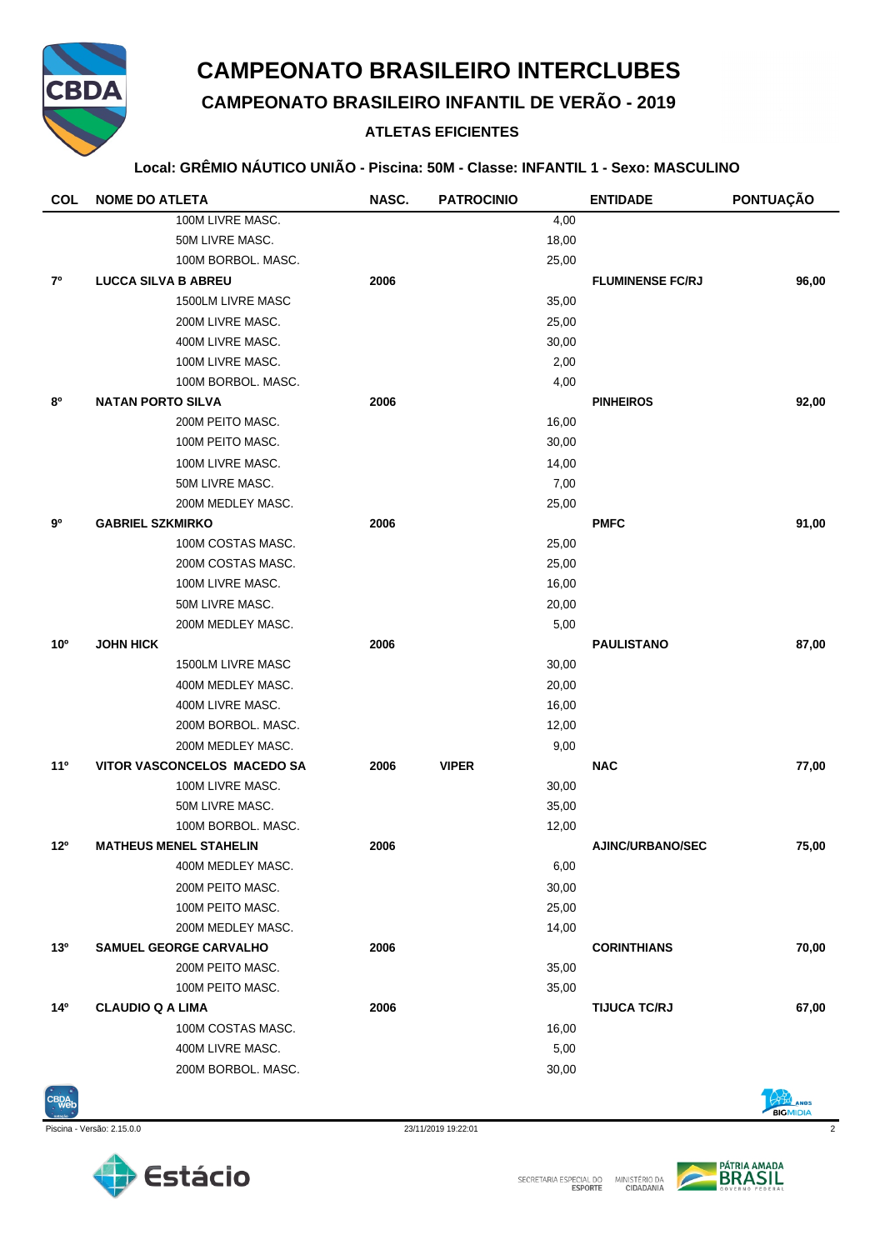

## **CAMPEONATO BRASILEIRO INTERCLUBES**

**CAMPEONATO BRASILEIRO INFANTIL DE VERÃO - 2019**

## **ATLETAS EFICIENTES**

#### **Local: GRÊMIO NÁUTICO UNIÃO - Piscina: 50M - Classe: INFANTIL 1 - Sexo: MASCULINO**

| <b>COL</b>      | <b>NOME DO ATLETA</b>         | NASC. | <b>PATROCINIO</b> | <b>ENTIDADE</b>         | PONTUAÇÃO |
|-----------------|-------------------------------|-------|-------------------|-------------------------|-----------|
|                 | 100M LIVRE MASC.              |       | 4,00              |                         |           |
|                 | 50M LIVRE MASC.               |       | 18,00             |                         |           |
|                 | 100M BORBOL, MASC.            |       | 25,00             |                         |           |
| 7º              | <b>LUCCA SILVA B ABREU</b>    | 2006  |                   | <b>FLUMINENSE FC/RJ</b> | 96,00     |
|                 | 1500LM LIVRE MASC             |       | 35,00             |                         |           |
|                 | 200M LIVRE MASC.              |       | 25,00             |                         |           |
|                 | 400M LIVRE MASC.              |       | 30,00             |                         |           |
|                 | 100M LIVRE MASC.              |       | 2,00              |                         |           |
|                 | 100M BORBOL. MASC.            |       | 4,00              |                         |           |
| 80              | <b>NATAN PORTO SILVA</b>      | 2006  |                   | <b>PINHEIROS</b>        | 92,00     |
|                 | 200M PEITO MASC.              |       | 16,00             |                         |           |
|                 | 100M PEITO MASC.              |       | 30,00             |                         |           |
|                 | 100M LIVRE MASC.              |       | 14,00             |                         |           |
|                 | 50M LIVRE MASC.               |       | 7,00              |                         |           |
|                 | 200M MEDLEY MASC.             |       | 25,00             |                         |           |
| 90              | <b>GABRIEL SZKMIRKO</b>       | 2006  |                   | <b>PMFC</b>             | 91,00     |
|                 | 100M COSTAS MASC.             |       | 25,00             |                         |           |
|                 | 200M COSTAS MASC.             |       | 25,00             |                         |           |
|                 | 100M LIVRE MASC.              |       | 16,00             |                         |           |
|                 | 50M LIVRE MASC.               |       | 20,00             |                         |           |
|                 | 200M MEDLEY MASC.             |       | 5,00              |                         |           |
| 10 <sup>o</sup> | JOHN HICK                     | 2006  |                   | <b>PAULISTANO</b>       | 87,00     |
|                 | 1500LM LIVRE MASC             |       | 30,00             |                         |           |
|                 | 400M MEDLEY MASC.             |       | 20,00             |                         |           |
|                 | 400M LIVRE MASC.              |       | 16,00             |                         |           |
|                 | 200M BORBOL. MASC.            |       | 12,00             |                         |           |
|                 | 200M MEDLEY MASC.             |       | 9,00              |                         |           |
| 11 <sup>°</sup> | VITOR VASCONCELOS MACEDO SA   | 2006  | <b>VIPER</b>      | <b>NAC</b>              | 77,00     |
|                 | 100M LIVRE MASC.              |       | 30,00             |                         |           |
|                 | 50M LIVRE MASC.               |       | 35,00             |                         |           |
|                 | 100M BORBOL. MASC.            |       | 12,00             |                         |           |
| 12°             | <b>MATHEUS MENEL STAHELIN</b> | 2006  |                   | <b>AJINC/URBANO/SEC</b> | 75,00     |
|                 | 400M MEDLEY MASC.             |       | 6,00              |                         |           |
|                 | 200M PEITO MASC.              |       | 30,00             |                         |           |
|                 | 100M PEITO MASC.              |       | 25,00             |                         |           |
|                 | 200M MEDLEY MASC.             |       | 14,00             |                         |           |
| 13 <sup>o</sup> | <b>SAMUEL GEORGE CARVALHO</b> | 2006  |                   | <b>CORINTHIANS</b>      | 70,00     |
|                 | 200M PEITO MASC.              |       | 35,00             |                         |           |
|                 | 100M PEITO MASC.              |       | 35,00             |                         |           |
| 14º             | <b>CLAUDIO Q A LIMA</b>       | 2006  |                   | <b>TIJUCA TC/RJ</b>     | 67,00     |
|                 | 100M COSTAS MASC.             |       | 16,00             |                         |           |
|                 | 400M LIVRE MASC.              |       | 5,00              |                         |           |
|                 | 200M BORBOL. MASC.            |       | 30,00             |                         |           |



Piscina - Versão: 2.15.0.0 23/11/2019 19:22:01 2







BIGMIDIA